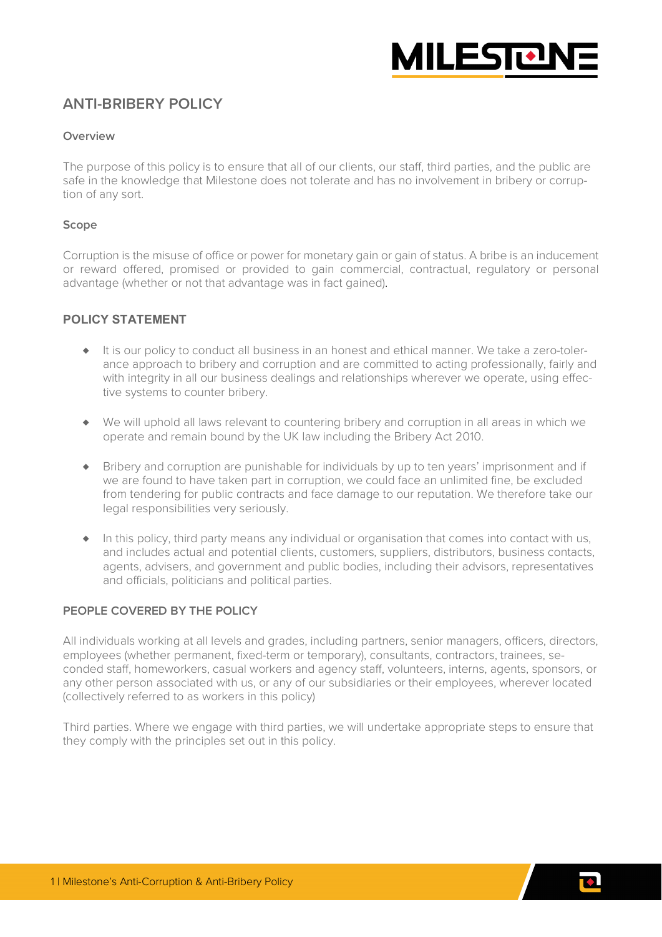

# **ANTI-BRIBERY POLICY**

### **Overview**

The purpose of this policy is to ensure that all of our clients, our staff, third parties, and the public are safe in the knowledge that Milestone does not tolerate and has no involvement in bribery or corruption of any sort.

### **Scope**

Corruption is the misuse of office or power for monetary gain or gain of status. A bribe is an inducement or reward offered, promised or provided to gain commercial, contractual, regulatory or personal advantage (whether or not that advantage was in fact gained).

# **POLICY STATEMENT**

- ♦ It is our policy to conduct all business in an honest and ethical manner. We take a zero-tolerance approach to bribery and corruption and are committed to acting professionally, fairly and with integrity in all our business dealings and relationships wherever we operate, using effective systems to counter bribery.
- ♦ We will uphold all laws relevant to countering bribery and corruption in all areas in which we operate and remain bound by the UK law including the Bribery Act 2010.
- ♦ Bribery and corruption are punishable for individuals by up to ten years' imprisonment and if we are found to have taken part in corruption, we could face an unlimited fine, be excluded from tendering for public contracts and face damage to our reputation. We therefore take our legal responsibilities very seriously.
- ♦ In this policy, third party means any individual or organisation that comes into contact with us, and includes actual and potential clients, customers, suppliers, distributors, business contacts, agents, advisers, and government and public bodies, including their advisors, representatives and officials, politicians and political parties.

### **PEOPLE COVERED BY THE POLICY**

All individuals working at all levels and grades, including partners, senior managers, officers, directors, employees (whether permanent, fixed-term or temporary), consultants, contractors, trainees, seconded staff, homeworkers, casual workers and agency staff, volunteers, interns, agents, sponsors, or any other person associated with us, or any of our subsidiaries or their employees, wherever located (collectively referred to as workers in this policy)

Third parties. Where we engage with third parties, we will undertake appropriate steps to ensure that they comply with the principles set out in this policy.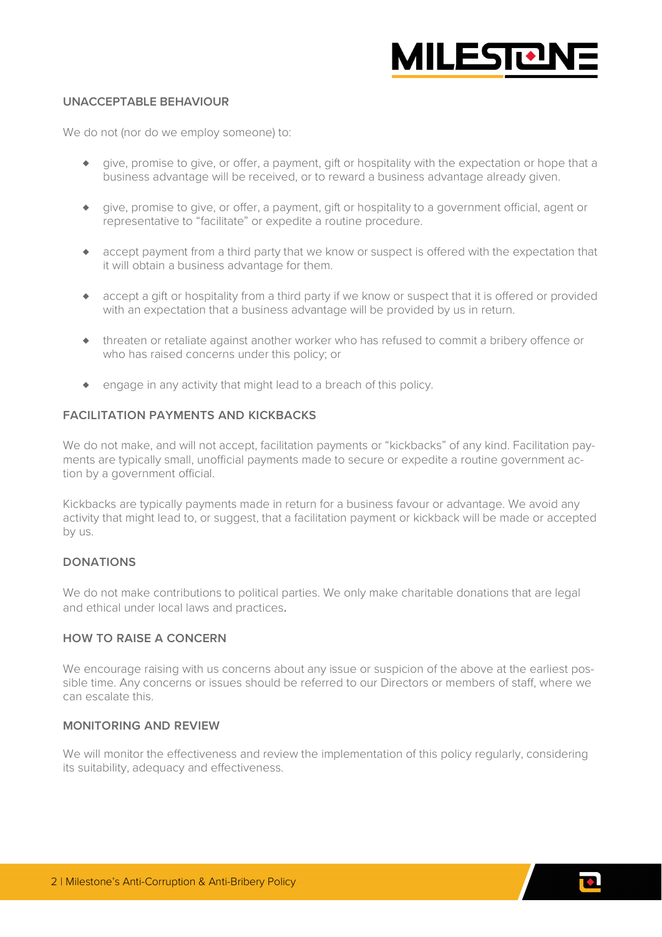

# **UNACCEPTABLE BEHAVIOUR**

We do not (nor do we employ someone) to:

- ♦ give, promise to give, or offer, a payment, gift or hospitality with the expectation or hope that a business advantage will be received, or to reward a business advantage already given.
- ♦ give, promise to give, or offer, a payment, gift or hospitality to a government official, agent or representative to "facilitate" or expedite a routine procedure.
- ♦ accept payment from a third party that we know or suspect is offered with the expectation that it will obtain a business advantage for them.
- ♦ accept a gift or hospitality from a third party if we know or suspect that it is offered or provided with an expectation that a business advantage will be provided by us in return.
- ♦ threaten or retaliate against another worker who has refused to commit a bribery offence or who has raised concerns under this policy; or
- ♦ engage in any activity that might lead to a breach of this policy.

#### **FACILITATION PAYMENTS AND KICKBACKS**

We do not make, and will not accept, facilitation payments or "kickbacks" of any kind. Facilitation payments are typically small, unofficial payments made to secure or expedite a routine government action by a government official.

Kickbacks are typically payments made in return for a business favour or advantage. We avoid any activity that might lead to, or suggest, that a facilitation payment or kickback will be made or accepted by us.

# **DONATIONS**

We do not make contributions to political parties. We only make charitable donations that are legal and ethical under local laws and practices.

# **HOW TO RAISE A CONCERN**

We encourage raising with us concerns about any issue or suspicion of the above at the earliest possible time. Any concerns or issues should be referred to our Directors or members of staff, where we can escalate this.

# **MONITORING AND REVIEW**

We will monitor the effectiveness and review the implementation of this policy regularly, considering its suitability, adequacy and effectiveness.